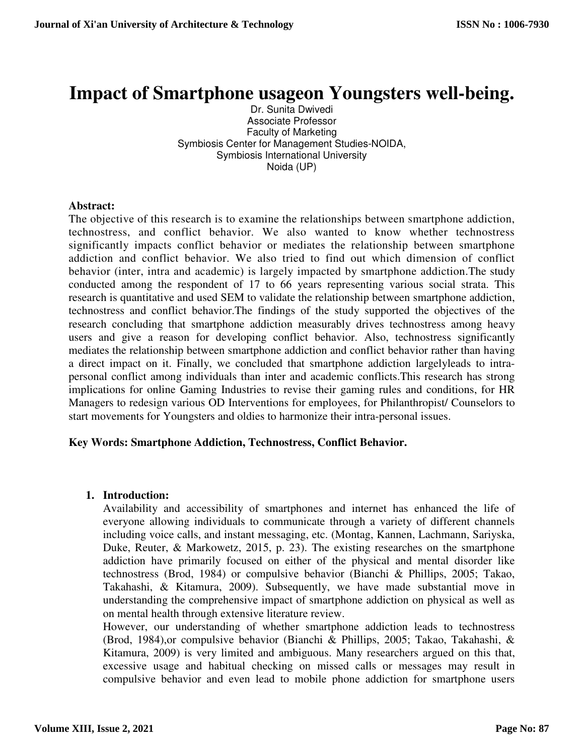# **Impact of Smartphone usageon Youngsters well-being.**

Dr. Sunita Dwivedi Associate Professor Faculty of Marketing Symbiosis Center for Management Studies-NOIDA, Symbiosis International University Noida (UP)

#### **Abstract:**

The objective of this research is to examine the relationships between smartphone addiction, technostress, and conflict behavior. We also wanted to know whether technostress significantly impacts conflict behavior or mediates the relationship between smartphone addiction and conflict behavior. We also tried to find out which dimension of conflict behavior (inter, intra and academic) is largely impacted by smartphone addiction.The study conducted among the respondent of 17 to 66 years representing various social strata. This research is quantitative and used SEM to validate the relationship between smartphone addiction, technostress and conflict behavior.The findings of the study supported the objectives of the research concluding that smartphone addiction measurably drives technostress among heavy users and give a reason for developing conflict behavior. Also, technostress significantly mediates the relationship between smartphone addiction and conflict behavior rather than having a direct impact on it. Finally, we concluded that smartphone addiction largelyleads to intrapersonal conflict among individuals than inter and academic conflicts.This research has strong implications for online Gaming Industries to revise their gaming rules and conditions, for HR Managers to redesign various OD Interventions for employees, for Philanthropist/ Counselors to start movements for Youngsters and oldies to harmonize their intra-personal issues.

### **Key Words: Smartphone Addiction, Technostress, Conflict Behavior.**

### **1. Introduction:**

Availability and accessibility of smartphones and internet has enhanced the life of everyone allowing individuals to communicate through a variety of different channels including voice calls, and instant messaging, etc. (Montag, Kannen, Lachmann, Sariyska, Duke, Reuter, & Markowetz, 2015, p. 23). The existing researches on the smartphone addiction have primarily focused on either of the physical and mental disorder like technostress (Brod, 1984) or compulsive behavior (Bianchi & Phillips, 2005; Takao, Takahashi, & Kitamura, 2009). Subsequently, we have made substantial move in understanding the comprehensive impact of smartphone addiction on physical as well as on mental health through extensive literature review.

However, our understanding of whether smartphone addiction leads to technostress (Brod, 1984),or compulsive behavior (Bianchi & Phillips, 2005; Takao, Takahashi, & Kitamura, 2009) is very limited and ambiguous. Many researchers argued on this that, excessive usage and habitual checking on missed calls or messages may result in compulsive behavior and even lead to mobile phone addiction for smartphone users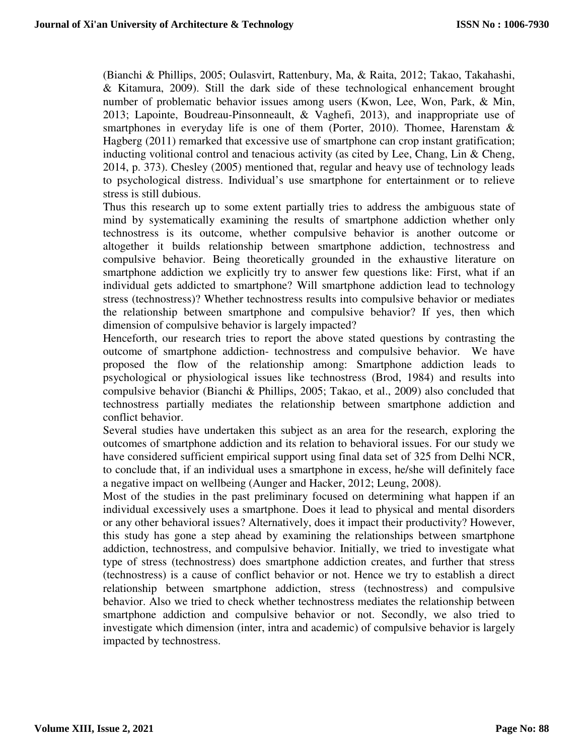(Bianchi & Phillips, 2005; Oulasvirt, Rattenbury, Ma, & Raita, 2012; Takao, Takahashi, & Kitamura, 2009). Still the dark side of these technological enhancement brought number of problematic behavior issues among users (Kwon, Lee, Won, Park, & Min, 2013; Lapointe, Boudreau-Pinsonneault, & Vaghefi, 2013), and inappropriate use of smartphones in everyday life is one of them (Porter, 2010). Thomee, Harenstam & Hagberg (2011) remarked that excessive use of smartphone can crop instant gratification; inducting volitional control and tenacious activity (as cited by Lee, Chang, Lin & Cheng, 2014, p. 373). Chesley (2005) mentioned that, regular and heavy use of technology leads to psychological distress. Individual's use smartphone for entertainment or to relieve stress is still dubious.

Thus this research up to some extent partially tries to address the ambiguous state of mind by systematically examining the results of smartphone addiction whether only technostress is its outcome, whether compulsive behavior is another outcome or altogether it builds relationship between smartphone addiction, technostress and compulsive behavior. Being theoretically grounded in the exhaustive literature on smartphone addiction we explicitly try to answer few questions like: First, what if an individual gets addicted to smartphone? Will smartphone addiction lead to technology stress (technostress)? Whether technostress results into compulsive behavior or mediates the relationship between smartphone and compulsive behavior? If yes, then which dimension of compulsive behavior is largely impacted?

Henceforth, our research tries to report the above stated questions by contrasting the outcome of smartphone addiction- technostress and compulsive behavior. We have proposed the flow of the relationship among: Smartphone addiction leads to psychological or physiological issues like technostress (Brod, 1984) and results into compulsive behavior (Bianchi & Phillips, 2005; Takao, et al., 2009) also concluded that technostress partially mediates the relationship between smartphone addiction and conflict behavior.

Several studies have undertaken this subject as an area for the research, exploring the outcomes of smartphone addiction and its relation to behavioral issues. For our study we have considered sufficient empirical support using final data set of 325 from Delhi NCR, to conclude that, if an individual uses a smartphone in excess, he/she will definitely face a negative impact on wellbeing (Aunger and Hacker, 2012; Leung, 2008).

Most of the studies in the past preliminary focused on determining what happen if an individual excessively uses a smartphone. Does it lead to physical and mental disorders or any other behavioral issues? Alternatively, does it impact their productivity? However, this study has gone a step ahead by examining the relationships between smartphone addiction, technostress, and compulsive behavior. Initially, we tried to investigate what type of stress (technostress) does smartphone addiction creates, and further that stress (technostress) is a cause of conflict behavior or not. Hence we try to establish a direct relationship between smartphone addiction, stress (technostress) and compulsive behavior. Also we tried to check whether technostress mediates the relationship between smartphone addiction and compulsive behavior or not. Secondly, we also tried to investigate which dimension (inter, intra and academic) of compulsive behavior is largely impacted by technostress.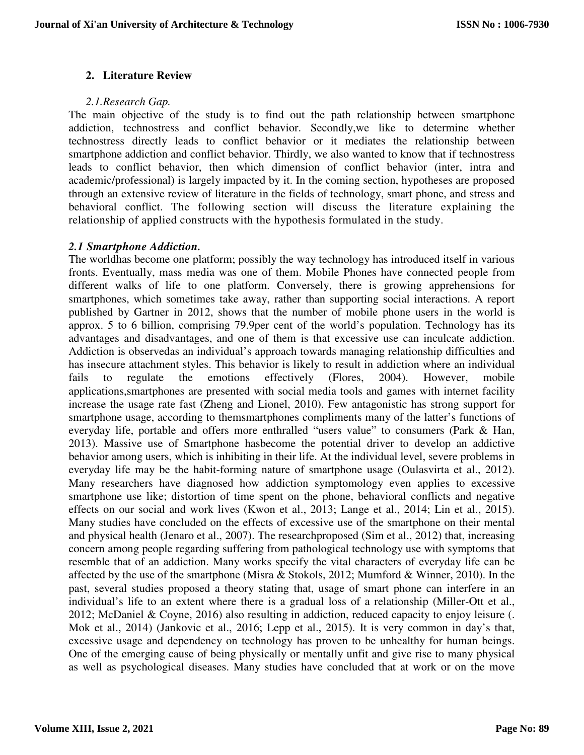# **2. Literature Review**

#### *2.1.Research Gap.*

The main objective of the study is to find out the path relationship between smartphone addiction, technostress and conflict behavior. Secondly,we like to determine whether technostress directly leads to conflict behavior or it mediates the relationship between smartphone addiction and conflict behavior. Thirdly, we also wanted to know that if technostress leads to conflict behavior, then which dimension of conflict behavior (inter, intra and academic/professional) is largely impacted by it. In the coming section, hypotheses are proposed through an extensive review of literature in the fields of technology, smart phone, and stress and behavioral conflict. The following section will discuss the literature explaining the relationship of applied constructs with the hypothesis formulated in the study.

### *2.1 Smartphone Addiction.*

The worldhas become one platform; possibly the way technology has introduced itself in various fronts. Eventually, mass media was one of them. Mobile Phones have connected people from different walks of life to one platform. Conversely, there is growing apprehensions for smartphones, which sometimes take away, rather than supporting social interactions. A report published by Gartner in 2012, shows that the number of mobile phone users in the world is approx. 5 to 6 billion, comprising 79.9per cent of the world's population. Technology has its advantages and disadvantages, and one of them is that excessive use can inculcate addiction. Addiction is observedas an individual's approach towards managing relationship difficulties and has insecure attachment styles. This behavior is likely to result in addiction where an individual fails to regulate the emotions effectively (Flores, 2004). However, mobile fails to regulate the emotions effectively (Flores, 2004). However, mobile applications,smartphones are presented with social media tools and games with internet facility increase the usage rate fast (Zheng and Lionel, 2010). Few antagonistic has strong support for smartphone usage, according to themsmartphones compliments many of the latter's functions of everyday life, portable and offers more enthralled "users value" to consumers (Park & Han, 2013). Massive use of Smartphone hasbecome the potential driver to develop an addictive behavior among users, which is inhibiting in their life. At the individual level, severe problems in everyday life may be the habit-forming nature of smartphone usage (Oulasvirta et al., 2012). Many researchers have diagnosed how addiction symptomology even applies to excessive smartphone use like; distortion of time spent on the phone, behavioral conflicts and negative effects on our social and work lives (Kwon et al., 2013; Lange et al., 2014; Lin et al., 2015). Many studies have concluded on the effects of excessive use of the smartphone on their mental and physical health (Jenaro et al., 2007). The researchproposed (Sim et al., 2012) that, increasing concern among people regarding suffering from pathological technology use with symptoms that resemble that of an addiction. Many works specify the vital characters of everyday life can be affected by the use of the smartphone (Misra & Stokols, 2012; Mumford & Winner, 2010). In the past, several studies proposed a theory stating that, usage of smart phone can interfere in an individual's life to an extent where there is a gradual loss of a relationship (Miller-Ott et al., 2012; McDaniel & Coyne, 2016) also resulting in addiction, reduced capacity to enjoy leisure (. Mok et al., 2014) (Jankovic et al., 2016; Lepp et al., 2015). It is very common in day's that, excessive usage and dependency on technology has proven to be unhealthy for human beings. One of the emerging cause of being physically or mentally unfit and give rise to many physical as well as psychological diseases. Many studies have concluded that at work or on the move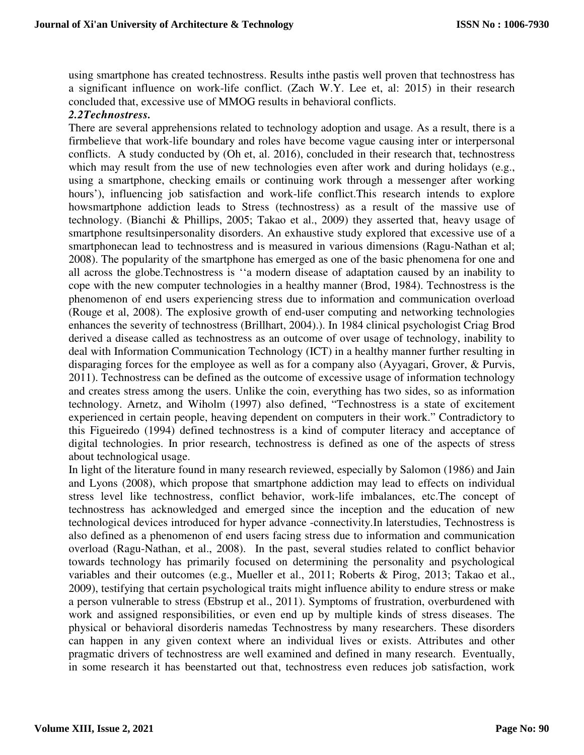using smartphone has created technostress. Results inthe pastis well proven that technostress has a significant influence on work-life conflict. (Zach W.Y. Lee et, al: 2015) in their research concluded that, excessive use of MMOG results in behavioral conflicts.

### *2.2Technostress.*

There are several apprehensions related to technology adoption and usage. As a result, there is a firmbelieve that work-life boundary and roles have become vague causing inter or interpersonal conflicts. A study conducted by (Oh et, al. 2016), concluded in their research that, technostress which may result from the use of new technologies even after work and during holidays (e.g., using a smartphone, checking emails or continuing work through a messenger after working hours'), influencing job satisfaction and work-life conflict.This research intends to explore howsmartphone addiction leads to Stress (technostress) as a result of the massive use of technology. (Bianchi & Phillips, 2005; Takao et al., 2009) they asserted that, heavy usage of smartphone resultsinpersonality disorders. An exhaustive study explored that excessive use of a smartphonecan lead to technostress and is measured in various dimensions (Ragu-Nathan et al; 2008). The popularity of the smartphone has emerged as one of the basic phenomena for one and all across the globe.Technostress is ''a modern disease of adaptation caused by an inability to cope with the new computer technologies in a healthy manner (Brod, 1984). Technostress is the phenomenon of end users experiencing stress due to information and communication overload (Rouge et al, 2008). The explosive growth of end-user computing and networking technologies enhances the severity of technostress (Brillhart, 2004).). In 1984 clinical psychologist Criag Brod derived a disease called as technostress as an outcome of over usage of technology, inability to deal with Information Communication Technology (ICT) in a healthy manner further resulting in disparaging forces for the employee as well as for a company also (Ayyagari, Grover, & Purvis, 2011). Technostress can be defined as the outcome of excessive usage of information technology and creates stress among the users. Unlike the coin, everything has two sides, so as information technology. Arnetz, and Wiholm (1997) also defined, "Technostress is a state of excitement experienced in certain people, heaving dependent on computers in their work." Contradictory to this Figueiredo (1994) defined technostress is a kind of computer literacy and acceptance of digital technologies. In prior research, technostress is defined as one of the aspects of stress about technological usage.

In light of the literature found in many research reviewed, especially by Salomon (1986) and Jain and Lyons (2008), which propose that smartphone addiction may lead to effects on individual stress level like technostress, conflict behavior, work-life imbalances, etc.The concept of technostress has acknowledged and emerged since the inception and the education of new technological devices introduced for hyper advance -connectivity.In laterstudies, Technostress is also defined as a phenomenon of end users facing stress due to information and communication overload (Ragu-Nathan, et al., 2008). In the past, several studies related to conflict behavior towards technology has primarily focused on determining the personality and psychological variables and their outcomes (e.g., Mueller et al., 2011; Roberts & Pirog, 2013; Takao et al., 2009), testifying that certain psychological traits might influence ability to endure stress or make a person vulnerable to stress (Ebstrup et al., 2011). Symptoms of frustration, overburdened with work and assigned responsibilities, or even end up by multiple kinds of stress diseases. The physical or behavioral disorderis namedas Technostress by many researchers. These disorders can happen in any given context where an individual lives or exists. Attributes and other pragmatic drivers of technostress are well examined and defined in many research. Eventually, in some research it has beenstarted out that, technostress even reduces job satisfaction, work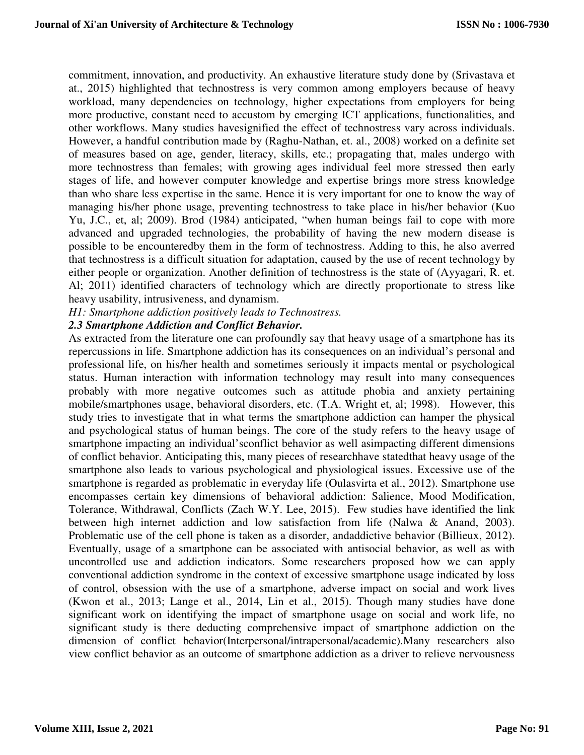commitment, innovation, and productivity. An exhaustive literature study done by (Srivastava et at., 2015) highlighted that technostress is very common among employers because of heavy workload, many dependencies on technology, higher expectations from employers for being more productive, constant need to accustom by emerging ICT applications, functionalities, and other workflows. Many studies havesignified the effect of technostress vary across individuals. However, a handful contribution made by (Raghu-Nathan, et. al., 2008) worked on a definite set of measures based on age, gender, literacy, skills, etc.; propagating that, males undergo with more technostress than females; with growing ages individual feel more stressed then early stages of life, and however computer knowledge and expertise brings more stress knowledge than who share less expertise in the same. Hence it is very important for one to know the way of managing his/her phone usage, preventing technostress to take place in his/her behavior (Kuo Yu, J.C., et, al; 2009). Brod (1984) anticipated, "when human beings fail to cope with more advanced and upgraded technologies, the probability of having the new modern disease is possible to be encounteredby them in the form of technostress. Adding to this, he also averred that technostress is a difficult situation for adaptation, caused by the use of recent technology by either people or organization. Another definition of technostress is the state of (Ayyagari, R. et. Al; 2011) identified characters of technology which are directly proportionate to stress like heavy usability, intrusiveness, and dynamism.

#### *H1: Smartphone addiction positively leads to Technostress.*

# *2.3 Smartphone Addiction and Conflict Behavior.*

As extracted from the literature one can profoundly say that heavy usage of a smartphone has its repercussions in life. Smartphone addiction has its consequences on an individual's personal and professional life, on his/her health and sometimes seriously it impacts mental or psychological status. Human interaction with information technology may result into many consequences probably with more negative outcomes such as attitude phobia and anxiety pertaining mobile/smartphones usage, behavioral disorders, etc. (T.A. Wright et, al; 1998). However, this study tries to investigate that in what terms the smartphone addiction can hamper the physical and psychological status of human beings. The core of the study refers to the heavy usage of smartphone impacting an individual'sconflict behavior as well asimpacting different dimensions of conflict behavior. Anticipating this, many pieces of researchhave statedthat heavy usage of the smartphone also leads to various psychological and physiological issues. Excessive use of the smartphone is regarded as problematic in everyday life (Oulasvirta et al., 2012). Smartphone use encompasses certain key dimensions of behavioral addiction: Salience, Mood Modification, Tolerance, Withdrawal, Conflicts (Zach W.Y. Lee, 2015). Few studies have identified the link between high internet addiction and low satisfaction from life (Nalwa & Anand, 2003). Problematic use of the cell phone is taken as a disorder, andaddictive behavior (Billieux, 2012). Eventually, usage of a smartphone can be associated with antisocial behavior, as well as with uncontrolled use and addiction indicators. Some researchers proposed how we can apply conventional addiction syndrome in the context of excessive smartphone usage indicated by loss of control, obsession with the use of a smartphone, adverse impact on social and work lives (Kwon et al., 2013; Lange et al., 2014, Lin et al., 2015). Though many studies have done significant work on identifying the impact of smartphone usage on social and work life, no significant study is there deducting comprehensive impact of smartphone addiction on the dimension of conflict behavior(Interpersonal/intrapersonal/academic).Many researchers also view conflict behavior as an outcome of smartphone addiction as a driver to relieve nervousness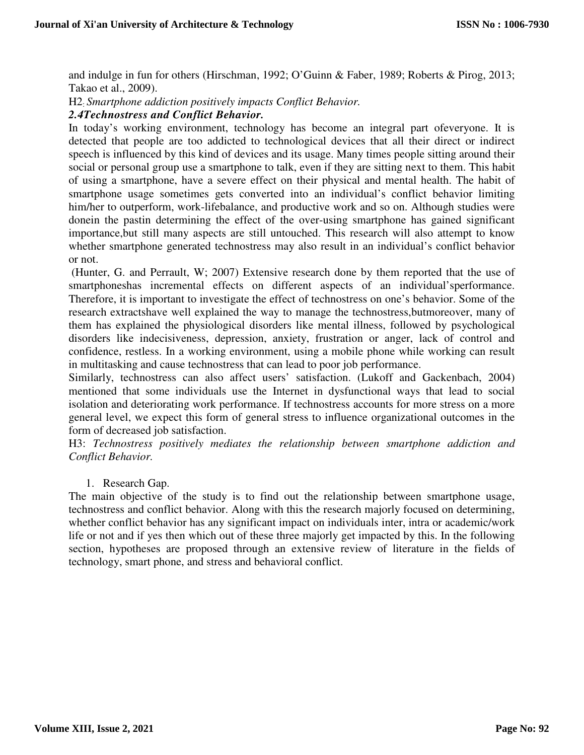and indulge in fun for others (Hirschman, 1992; O'Guinn & Faber, 1989; Roberts & Pirog, 2013; Takao et al., 2009).

H2: *Smartphone addiction positively impacts Conflict Behavior.* 

#### *2.4Technostress and Conflict Behavior.*

In today's working environment, technology has become an integral part ofeveryone. It is detected that people are too addicted to technological devices that all their direct or indirect speech is influenced by this kind of devices and its usage. Many times people sitting around their social or personal group use a smartphone to talk, even if they are sitting next to them. This habit of using a smartphone, have a severe effect on their physical and mental health. The habit of smartphone usage sometimes gets converted into an individual's conflict behavior limiting him/her to outperform, work-lifebalance, and productive work and so on. Although studies were donein the pastin determining the effect of the over-using smartphone has gained significant importance,but still many aspects are still untouched. This research will also attempt to know whether smartphone generated technostress may also result in an individual's conflict behavior or not.

 (Hunter, G. and Perrault, W; 2007) Extensive research done by them reported that the use of smartphoneshas incremental effects on different aspects of an individual'sperformance. Therefore, it is important to investigate the effect of technostress on one's behavior. Some of the research extractshave well explained the way to manage the technostress,butmoreover, many of them has explained the physiological disorders like mental illness, followed by psychological disorders like indecisiveness, depression, anxiety, frustration or anger, lack of control and confidence, restless. In a working environment, using a mobile phone while working can result in multitasking and cause technostress that can lead to poor job performance.

Similarly, technostress can also affect users' satisfaction. (Lukoff and Gackenbach, 2004) mentioned that some individuals use the Internet in dysfunctional ways that lead to social isolation and deteriorating work performance. If technostress accounts for more stress on a more general level, we expect this form of general stress to influence organizational outcomes in the form of decreased job satisfaction.

H3: *Technostress positively mediates the relationship between smartphone addiction and Conflict Behavior.* 

#### 1. Research Gap.

The main objective of the study is to find out the relationship between smartphone usage, technostress and conflict behavior. Along with this the research majorly focused on determining, whether conflict behavior has any significant impact on individuals inter, intra or academic/work life or not and if yes then which out of these three majorly get impacted by this. In the following section, hypotheses are proposed through an extensive review of literature in the fields of technology, smart phone, and stress and behavioral conflict.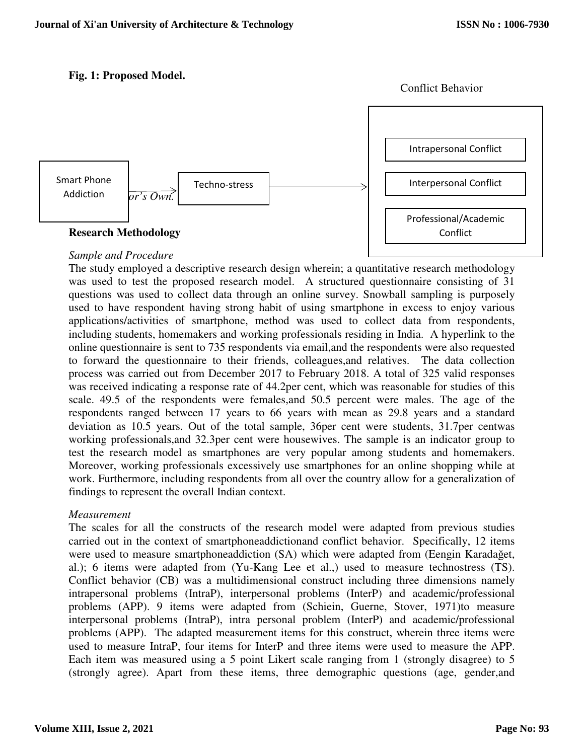# **Fig. 1: Proposed Model.**





# *Sample and Procedure*

The study employed a descriptive research design wherein; a quantitative research methodology was used to test the proposed research model. A structured questionnaire consisting of 31 questions was used to collect data through an online survey. Snowball sampling is purposely used to have respondent having strong habit of using smartphone in excess to enjoy various applications/activities of smartphone, method was used to collect data from respondents, including students, homemakers and working professionals residing in India. A hyperlink to the online questionnaire is sent to 735 respondents via email,and the respondents were also requested to forward the questionnaire to their friends, colleagues,and relatives. The data collection process was carried out from December 2017 to February 2018. A total of 325 valid responses was received indicating a response rate of 44.2per cent, which was reasonable for studies of this scale. 49.5 of the respondents were females,and 50.5 percent were males. The age of the respondents ranged between 17 years to 66 years with mean as 29.8 years and a standard deviation as 10.5 years. Out of the total sample, 36per cent were students, 31.7per centwas working professionals,and 32.3per cent were housewives. The sample is an indicator group to test the research model as smartphones are very popular among students and homemakers. Moreover, working professionals excessively use smartphones for an online shopping while at work. Furthermore, including respondents from all over the country allow for a generalization of findings to represent the overall Indian context.

### *Measurement*

The scales for all the constructs of the research model were adapted from previous studies carried out in the context of smartphoneaddictionand conflict behavior. Specifically, 12 items were used to measure smartphoneaddiction (SA) which were adapted from (Eengin Karadağet, al.); 6 items were adapted from (Yu-Kang Lee et al.,) used to measure technostress (TS). Conflict behavior (CB) was a multidimensional construct including three dimensions namely intrapersonal problems (IntraP), interpersonal problems (InterP) and academic/professional problems (APP). 9 items were adapted from (Schiein, Guerne, Stover, 1971)to measure interpersonal problems (IntraP), intra personal problem (InterP) and academic/professional problems (APP). The adapted measurement items for this construct, wherein three items were used to measure IntraP, four items for InterP and three items were used to measure the APP. Each item was measured using a 5 point Likert scale ranging from 1 (strongly disagree) to 5 (strongly agree). Apart from these items, three demographic questions (age, gender,and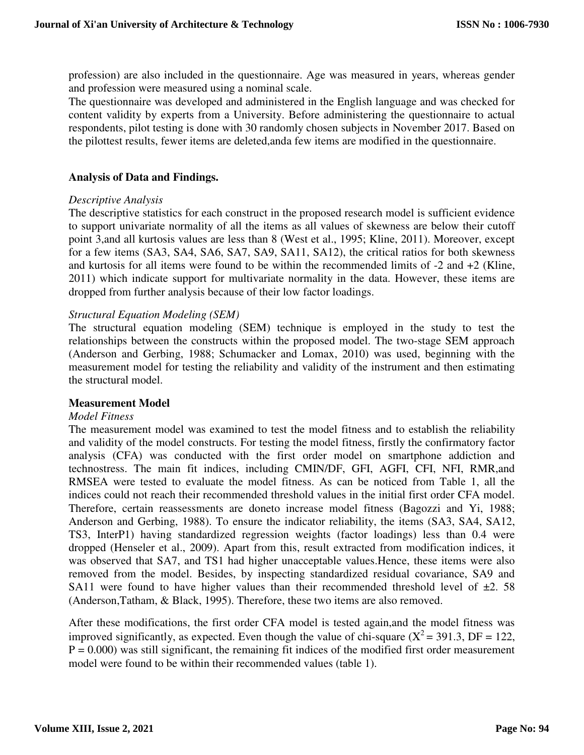profession) are also included in the questionnaire. Age was measured in years, whereas gender and profession were measured using a nominal scale.

The questionnaire was developed and administered in the English language and was checked for content validity by experts from a University. Before administering the questionnaire to actual respondents, pilot testing is done with 30 randomly chosen subjects in November 2017. Based on the pilottest results, fewer items are deleted,anda few items are modified in the questionnaire.

### **Analysis of Data and Findings.**

#### *Descriptive Analysis*

The descriptive statistics for each construct in the proposed research model is sufficient evidence to support univariate normality of all the items as all values of skewness are below their cutoff point 3,and all kurtosis values are less than 8 (West et al., 1995; Kline, 2011). Moreover, except for a few items (SA3, SA4, SA6, SA7, SA9, SA11, SA12), the critical ratios for both skewness and kurtosis for all items were found to be within the recommended limits of -2 and +2 (Kline, 2011) which indicate support for multivariate normality in the data. However, these items are dropped from further analysis because of their low factor loadings.

#### *Structural Equation Modeling (SEM)*

The structural equation modeling (SEM) technique is employed in the study to test the relationships between the constructs within the proposed model. The two-stage SEM approach (Anderson and Gerbing, 1988; Schumacker and Lomax, 2010) was used, beginning with the measurement model for testing the reliability and validity of the instrument and then estimating the structural model.

#### **Measurement Model**

#### *Model Fitness*

The measurement model was examined to test the model fitness and to establish the reliability and validity of the model constructs. For testing the model fitness, firstly the confirmatory factor analysis (CFA) was conducted with the first order model on smartphone addiction and technostress. The main fit indices, including CMIN/DF, GFI, AGFI, CFI, NFI, RMR,and RMSEA were tested to evaluate the model fitness. As can be noticed from Table 1, all the indices could not reach their recommended threshold values in the initial first order CFA model. Therefore, certain reassessments are doneto increase model fitness (Bagozzi and Yi, 1988; Anderson and Gerbing, 1988). To ensure the indicator reliability, the items (SA3, SA4, SA12, TS3, InterP1) having standardized regression weights (factor loadings) less than 0.4 were dropped (Henseler et al., 2009). Apart from this, result extracted from modification indices, it was observed that SA7, and TS1 had higher unacceptable values.Hence, these items were also removed from the model. Besides, by inspecting standardized residual covariance, SA9 and SA11 were found to have higher values than their recommended threshold level of  $\pm 2$ . 58 (Anderson,Tatham, & Black, 1995). Therefore, these two items are also removed.

After these modifications, the first order CFA model is tested again,and the model fitness was improved significantly, as expected. Even though the value of chi-square  $(X^2 = 391.3, DF = 122,$  $P = 0.000$ ) was still significant, the remaining fit indices of the modified first order measurement model were found to be within their recommended values (table 1).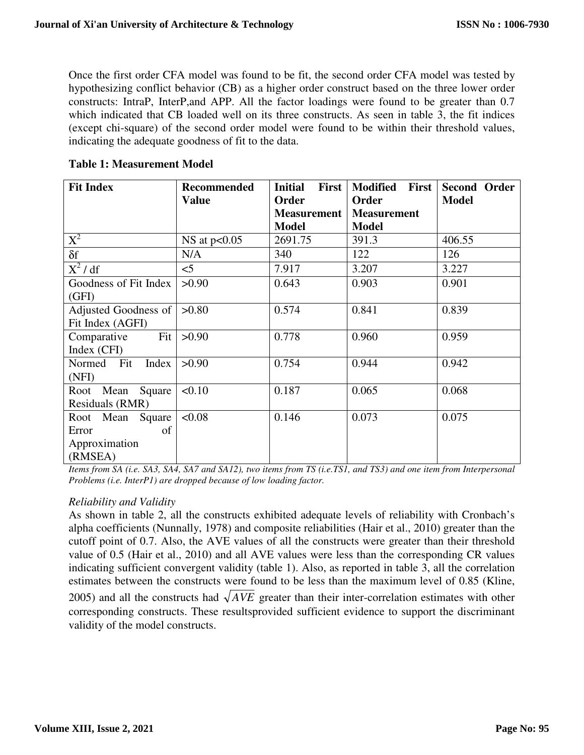Once the first order CFA model was found to be fit, the second order CFA model was tested by hypothesizing conflict behavior (CB) as a higher order construct based on the three lower order constructs: IntraP, InterP,and APP. All the factor loadings were found to be greater than 0.7 which indicated that CB loaded well on its three constructs. As seen in table 3, the fit indices (except chi-square) of the second order model were found to be within their threshold values, indicating the adequate goodness of fit to the data.

| <b>Fit Index</b>      | <b>Recommended</b> | <b>Initial</b><br><b>First</b> | <b>Modified</b><br>First | Second Order |
|-----------------------|--------------------|--------------------------------|--------------------------|--------------|
|                       | <b>Value</b>       | <b>Order</b>                   | Order                    | <b>Model</b> |
|                       |                    | <b>Measurement</b>             | <b>Measurement</b>       |              |
|                       |                    | <b>Model</b>                   | <b>Model</b>             |              |
| $X^2$                 | NS at $p<0.05$     | 2691.75                        | 391.3                    | 406.55       |
| $\delta f$            | N/A                | 340                            | 122                      | 126          |
| $X^2/df$              | $<$ 5              | 7.917                          | 3.207                    | 3.227        |
| Goodness of Fit Index | >0.90              | 0.643                          | 0.903                    | 0.901        |
| (GFI)                 |                    |                                |                          |              |
| Adjusted Goodness of  | >0.80              | 0.574                          | 0.841                    | 0.839        |
| Fit Index (AGFI)      |                    |                                |                          |              |
| Fit<br>Comparative    | >0.90              | 0.778                          | 0.960                    | 0.959        |
| Index (CFI)           |                    |                                |                          |              |
| Normed Fit<br>Index   | >0.90              | 0.754                          | 0.944                    | 0.942        |
| (NFI)                 |                    |                                |                          |              |
| Root Mean Square      | < 0.10             | 0.187                          | 0.065                    | 0.068        |
| Residuals (RMR)       |                    |                                |                          |              |
| Root Mean Square      | < 0.08             | 0.146                          | 0.073                    | 0.075        |
| Error<br>of           |                    |                                |                          |              |
| Approximation         |                    |                                |                          |              |
| (RMSEA)               |                    |                                |                          |              |

**Table 1: Measurement Model** 

*Items from SA (i.e. SA3, SA4, SA7 and SA12), two items from TS (i.e.TS1, and TS3) and one item from Interpersonal Problems (i.e. InterP1) are dropped because of low loading factor.* 

# *Reliability and Validity*

As shown in table 2, all the constructs exhibited adequate levels of reliability with Cronbach's alpha coefficients (Nunnally, 1978) and composite reliabilities (Hair et al., 2010) greater than the cutoff point of 0.7. Also, the AVE values of all the constructs were greater than their threshold value of 0.5 (Hair et al., 2010) and all AVE values were less than the corresponding CR values indicating sufficient convergent validity (table 1). Also, as reported in table 3, all the correlation estimates between the constructs were found to be less than the maximum level of 0.85 (Kline, 2005) and all the constructs had  $\sqrt{AVE}$  greater than their inter-correlation estimates with other corresponding constructs. These resultsprovided sufficient evidence to support the discriminant validity of the model constructs.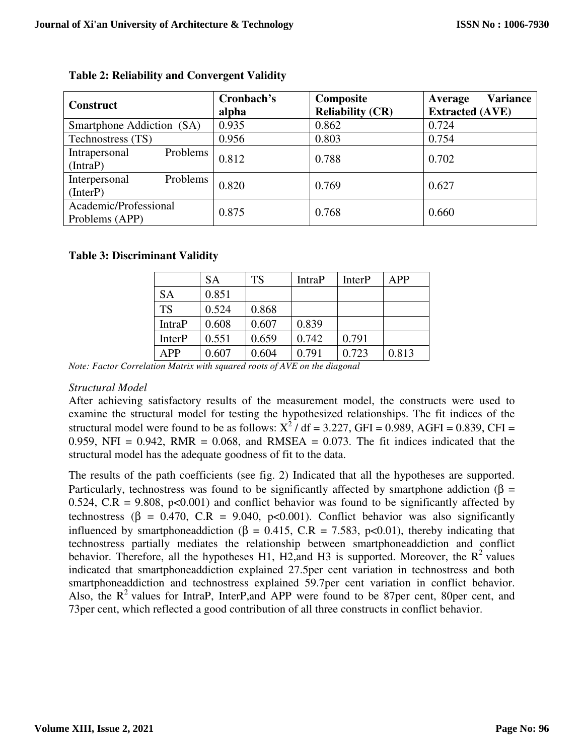| <b>Construct</b>                        | Cronbach's<br>alpha | Composite<br><b>Reliability (CR)</b> | <b>Variance</b><br>Average<br><b>Extracted (AVE)</b> |  |
|-----------------------------------------|---------------------|--------------------------------------|------------------------------------------------------|--|
| Smartphone Addiction (SA)               | 0.935               | 0.862                                | 0.724                                                |  |
| Technostress (TS)                       | 0.956               | 0.803                                | 0.754                                                |  |
| Problems<br>Intrapersonal<br>(IntroP)   | 0.812               | 0.788                                | 0.702                                                |  |
| Problems<br>Interpersonal<br>(InterP)   | 0.820               | 0.769                                | 0.627                                                |  |
| Academic/Professional<br>Problems (APP) | 0.875               | 0.768                                | 0.660                                                |  |

# **Table 2: Reliability and Convergent Validity**

# **Table 3: Discriminant Validity**

|               | <b>SA</b> | <b>TS</b> | <b>IntraP</b> | <b>InterP</b> | APP   |
|---------------|-----------|-----------|---------------|---------------|-------|
| <b>SA</b>     | 0.851     |           |               |               |       |
| <b>TS</b>     | 0.524     | 0.868     |               |               |       |
| <b>IntraP</b> | 0.608     | 0.607     | 0.839         |               |       |
| <b>InterP</b> | 0.551     | 0.659     | 0.742         | 0.791         |       |
| APP           | 0.607     | 0.604     | 0.791         | 0.723         | 0.813 |

*Note: Factor Correlation Matrix with squared roots of AVE on the diagonal* 

### *Structural Model*

After achieving satisfactory results of the measurement model, the constructs were used to examine the structural model for testing the hypothesized relationships. The fit indices of the structural model were found to be as follows:  $X^2$  / df = 3.227, GFI = 0.989, AGFI = 0.839, CFI = 0.959, NFI =  $0.942$ , RMR =  $0.068$ , and RMSEA =  $0.073$ . The fit indices indicated that the structural model has the adequate goodness of fit to the data.

The results of the path coefficients (see fig. 2) Indicated that all the hypotheses are supported. Particularly, technostress was found to be significantly affected by smartphone addiction ( $\beta$  = 0.524, C.R = 9.808,  $p<0.001$ ) and conflict behavior was found to be significantly affected by technostress ( $\beta$  = 0.470, C.R = 9.040, p<0.001). Conflict behavior was also significantly influenced by smartphoneaddiction (β = 0.415, C.R = 7.583, p<0.01), thereby indicating that technostress partially mediates the relationship between smartphoneaddiction and conflict behavior. Therefore, all the hypotheses H1, H2,and H3 is supported. Moreover, the  $R^2$  values indicated that smartphoneaddiction explained 27.5per cent variation in technostress and both smartphoneaddiction and technostress explained 59.7per cent variation in conflict behavior. Also, the  $R^2$  values for IntraP, InterP, and APP were found to be 87per cent, 80per cent, and 73per cent, which reflected a good contribution of all three constructs in conflict behavior.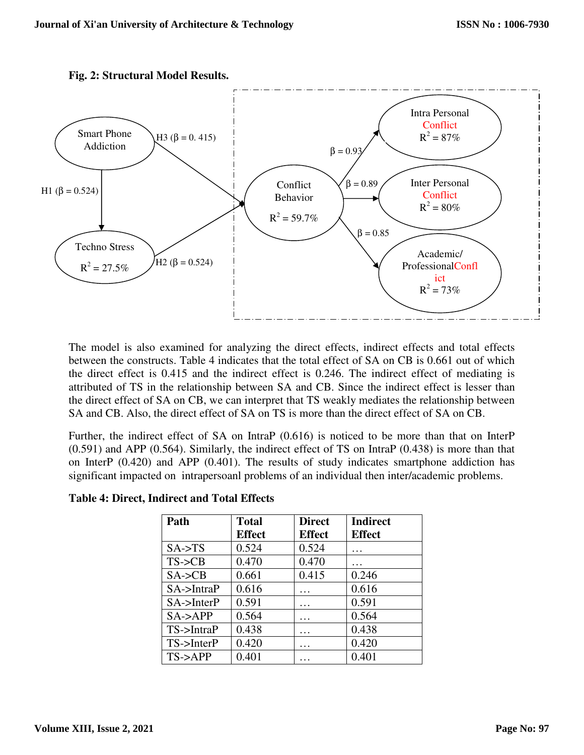

**Fig. 2: Structural Model Results.** 

The model is also examined for analyzing the direct effects, indirect effects and total effects between the constructs. Table 4 indicates that the total effect of SA on CB is 0.661 out of which the direct effect is 0.415 and the indirect effect is 0.246. The indirect effect of mediating is attributed of TS in the relationship between SA and CB. Since the indirect effect is lesser than the direct effect of SA on CB, we can interpret that TS weakly mediates the relationship between SA and CB. Also, the direct effect of SA on TS is more than the direct effect of SA on CB.

Further, the indirect effect of SA on IntraP (0.616) is noticed to be more than that on InterP (0.591) and APP (0.564). Similarly, the indirect effect of TS on IntraP (0.438) is more than that on InterP (0.420) and APP (0.401). The results of study indicates smartphone addiction has significant impacted on intrapersoanl problems of an individual then inter/academic problems.

| Path                 | <b>Total</b>  | <b>Direct</b> | <b>Indirect</b> |
|----------------------|---------------|---------------|-----------------|
|                      | <b>Effect</b> | <b>Effect</b> | <b>Effect</b>   |
| $SA \rightarrow TS$  | 0.524         | 0.524         | .               |
| $TS$ - $>E$ B        | 0.470         | 0.470         | .               |
| $SA \rightarrow CB$  | 0.661         | 0.415         | 0.246           |
| $SA$ ->IntraP        | 0.616         | .             | 0.616           |
| $SA$ ->InterP        | 0.591         | .             | 0.591           |
| $SA \rightarrow APP$ | 0.564         | $\cdots$      | 0.564           |
| $TS$ ->IntraP        | 0.438         | .             | 0.438           |
| $TS$ ->InterP        | 0.420         | .             | 0.420           |
| $TS$ ->APP           | 0.401         |               | 0.401           |

**Table 4: Direct, Indirect and Total Effects**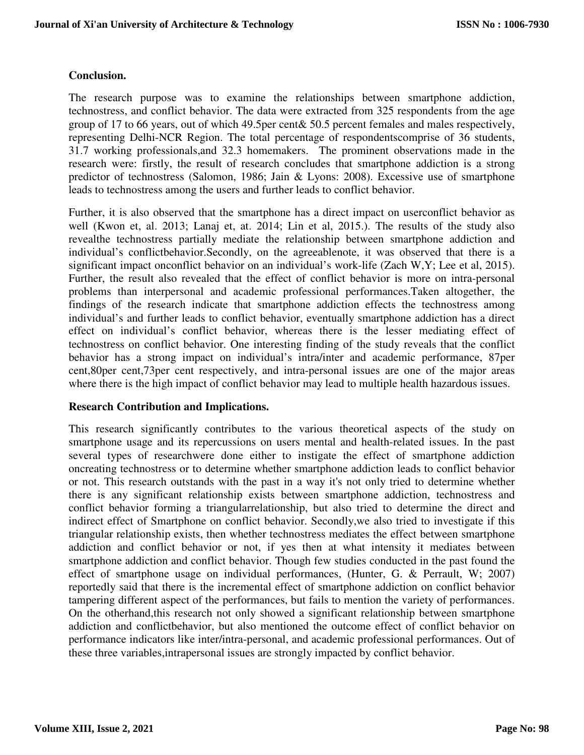## **Conclusion.**

The research purpose was to examine the relationships between smartphone addiction, technostress, and conflict behavior. The data were extracted from 325 respondents from the age group of 17 to 66 years, out of which 49.5per cent& 50.5 percent females and males respectively, representing Delhi-NCR Region. The total percentage of respondentscomprise of 36 students, 31.7 working professionals,and 32.3 homemakers. The prominent observations made in the research were: firstly, the result of research concludes that smartphone addiction is a strong predictor of technostress (Salomon, 1986; Jain & Lyons: 2008). Excessive use of smartphone leads to technostress among the users and further leads to conflict behavior.

Further, it is also observed that the smartphone has a direct impact on userconflict behavior as well (Kwon et, al. 2013; Lanaj et, at. 2014; Lin et al, 2015.). The results of the study also revealthe technostress partially mediate the relationship between smartphone addiction and individual's conflictbehavior.Secondly, on the agreeablenote, it was observed that there is a significant impact onconflict behavior on an individual's work-life (Zach W,Y; Lee et al, 2015). Further, the result also revealed that the effect of conflict behavior is more on intra-personal problems than interpersonal and academic professional performances.Taken altogether, the findings of the research indicate that smartphone addiction effects the technostress among individual's and further leads to conflict behavior, eventually smartphone addiction has a direct effect on individual's conflict behavior, whereas there is the lesser mediating effect of technostress on conflict behavior. One interesting finding of the study reveals that the conflict behavior has a strong impact on individual's intra/inter and academic performance, 87per cent,80per cent,73per cent respectively, and intra-personal issues are one of the major areas where there is the high impact of conflict behavior may lead to multiple health hazardous issues.

### **Research Contribution and Implications.**

This research significantly contributes to the various theoretical aspects of the study on smartphone usage and its repercussions on users mental and health-related issues. In the past several types of researchwere done either to instigate the effect of smartphone addiction oncreating technostress or to determine whether smartphone addiction leads to conflict behavior or not. This research outstands with the past in a way it's not only tried to determine whether there is any significant relationship exists between smartphone addiction, technostress and conflict behavior forming a triangularrelationship, but also tried to determine the direct and indirect effect of Smartphone on conflict behavior. Secondly,we also tried to investigate if this triangular relationship exists, then whether technostress mediates the effect between smartphone addiction and conflict behavior or not, if yes then at what intensity it mediates between smartphone addiction and conflict behavior. Though few studies conducted in the past found the effect of smartphone usage on individual performances, (Hunter, G. & Perrault, W; 2007) reportedly said that there is the incremental effect of smartphone addiction on conflict behavior tampering different aspect of the performances, but fails to mention the variety of performances. On the otherhand,this research not only showed a significant relationship between smartphone addiction and conflictbehavior, but also mentioned the outcome effect of conflict behavior on performance indicators like inter/intra-personal, and academic professional performances. Out of these three variables,intrapersonal issues are strongly impacted by conflict behavior.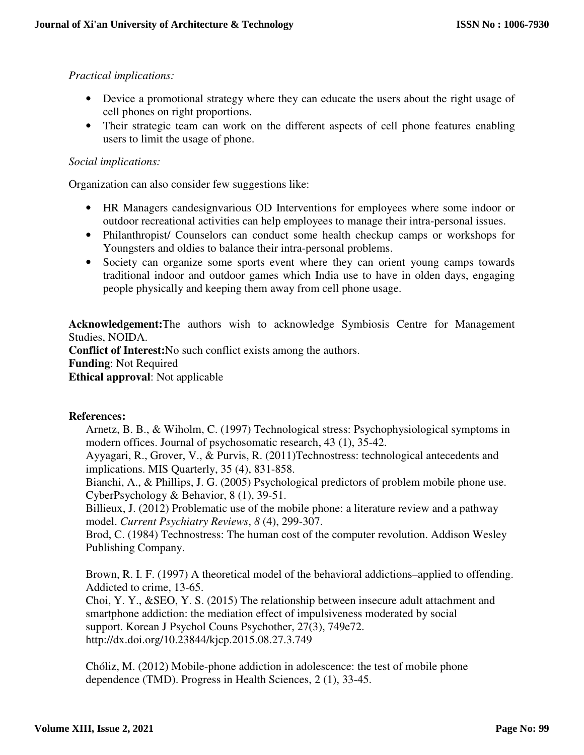# *Practical implications:*

- Device a promotional strategy where they can educate the users about the right usage of cell phones on right proportions.
- Their strategic team can work on the different aspects of cell phone features enabling users to limit the usage of phone.

## *Social implications:*

Organization can also consider few suggestions like:

- HR Managers candesignvarious OD Interventions for employees where some indoor or outdoor recreational activities can help employees to manage their intra-personal issues.
- Philanthropist/ Counselors can conduct some health checkup camps or workshops for Youngsters and oldies to balance their intra-personal problems.
- Society can organize some sports event where they can orient young camps towards traditional indoor and outdoor games which India use to have in olden days, engaging people physically and keeping them away from cell phone usage.

**Acknowledgement:**The authors wish to acknowledge Symbiosis Centre for Management Studies, NOIDA.

**Conflict of Interest:**No such conflict exists among the authors. **Funding**: Not Required **Ethical approval**: Not applicable

### **References:**

Arnetz, B. B., & Wiholm, C. (1997) Technological stress: Psychophysiological symptoms in modern offices. Journal of psychosomatic research, 43 (1), 35-42.

Ayyagari, R., Grover, V., & Purvis, R. (2011)Technostress: technological antecedents and implications. MIS Quarterly, 35 (4), 831-858.

Bianchi, A., & Phillips, J. G. (2005) Psychological predictors of problem mobile phone use. CyberPsychology & Behavior, 8 (1), 39-51.

Billieux, J. (2012) Problematic use of the mobile phone: a literature review and a pathway model. *Current Psychiatry Reviews*, *8* (4), 299-307.

Brod, C. (1984) Technostress: The human cost of the computer revolution. Addison Wesley Publishing Company.

Brown, R. I. F. (1997) A theoretical model of the behavioral addictions–applied to offending. Addicted to crime, 13-65.

Choi, Y. Y., &SEO, Y. S. (2015) The relationship between insecure adult attachment and smartphone addiction: the mediation effect of impulsiveness moderated by social support. Korean J Psychol Couns Psychother, 27(3), 749e72. http://dx.doi.org/10.23844/kjcp.2015.08.27.3.749

Chóliz, M. (2012) Mobile-phone addiction in adolescence: the test of mobile phone dependence (TMD). Progress in Health Sciences, 2 (1), 33-45.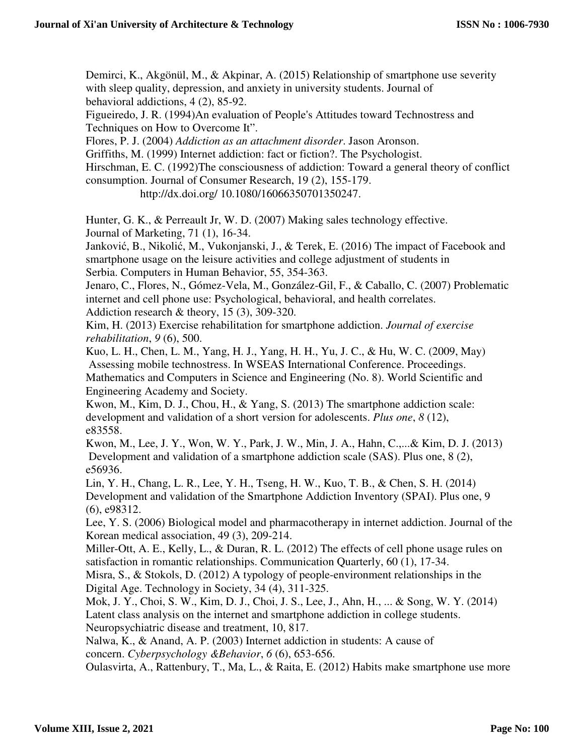Demirci, K., Akgönül, M., & Akpinar, A. (2015) Relationship of smartphone use severity with sleep quality, depression, and anxiety in university students. Journal of behavioral addictions, 4 (2), 85-92.

Figueiredo, J. R. (1994)An evaluation of People's Attitudes toward Technostress and Techniques on How to Overcome It".

Flores, P. J. (2004) *Addiction as an attachment disorder*. Jason Aronson.

Griffiths, M. (1999) Internet addiction: fact or fiction?. The Psychologist.

Hirschman, E. C. (1992)The consciousness of addiction: Toward a general theory of conflict consumption. Journal of Consumer Research, 19 (2), 155-179.

http://dx.doi.org/ 10.1080/16066350701350247.

Hunter, G. K., & Perreault Jr, W. D. (2007) Making sales technology effective. Journal of Marketing, 71 (1), 16-34.

Janković, B., Nikolić, M., Vukonjanski, J., & Terek, E. (2016) The impact of Facebook and smartphone usage on the leisure activities and college adjustment of students in Serbia. Computers in Human Behavior, 55, 354-363.

Jenaro, C., Flores, N., Gómez-Vela, M., González-Gil, F., & Caballo, C. (2007) Problematic internet and cell phone use: Psychological, behavioral, and health correlates. Addiction research & theory, 15 (3), 309-320.

Kim, H. (2013) Exercise rehabilitation for smartphone addiction. *Journal of exercise rehabilitation*, *9* (6), 500.

Kuo, L. H., Chen, L. M., Yang, H. J., Yang, H. H., Yu, J. C., & Hu, W. C. (2009, May) Assessing mobile technostress. In WSEAS International Conference. Proceedings. Mathematics and Computers in Science and Engineering (No. 8). World Scientific and Engineering Academy and Society.

Kwon, M., Kim, D. J., Chou, H., & Yang, S. (2013) The smartphone addiction scale: development and validation of a short version for adolescents. *Plus one*, *8* (12), e83558.

Kwon, M., Lee, J. Y., Won, W. Y., Park, J. W., Min, J. A., Hahn, C.,...& Kim, D. J. (2013) Development and validation of a smartphone addiction scale (SAS). Plus one, 8 (2), e56936.

Lin, Y. H., Chang, L. R., Lee, Y. H., Tseng, H. W., Kuo, T. B., & Chen, S. H. (2014) Development and validation of the Smartphone Addiction Inventory (SPAI). Plus one, 9 (6), e98312.

Lee, Y. S. (2006) Biological model and pharmacotherapy in internet addiction. Journal of the Korean medical association, 49 (3), 209-214.

Miller-Ott, A. E., Kelly, L., & Duran, R. L. (2012) The effects of cell phone usage rules on satisfaction in romantic relationships. Communication Quarterly, 60 (1), 17-34.

Misra, S., & Stokols, D. (2012) A typology of people-environment relationships in the Digital Age. Technology in Society, 34 (4), 311-325.

Mok, J. Y., Choi, S. W., Kim, D. J., Choi, J. S., Lee, J., Ahn, H., ... & Song, W. Y. (2014) Latent class analysis on the internet and smartphone addiction in college students. Neuropsychiatric disease and treatment, 10, 817.

Nalwa, K., & Anand, A. P. (2003) Internet addiction in students: A cause of concern. *Cyberpsychology &Behavior*, *6* (6), 653-656.

Oulasvirta, A., Rattenbury, T., Ma, L., & Raita, E. (2012) Habits make smartphone use more